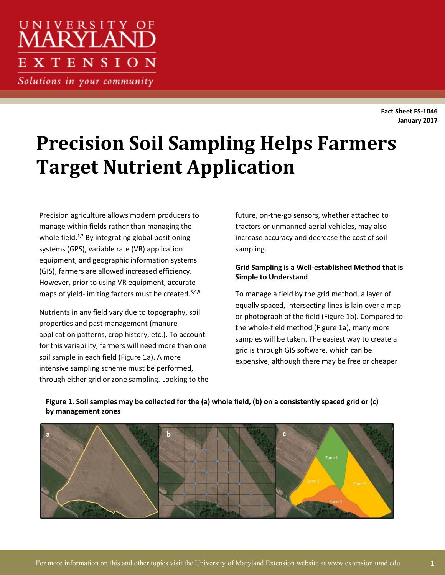## UNIVERSITY OF *ARYLAN* **XTENSION**

Solutions in your community

**Fact Sheet FS-1046 January 2017**

# **Precision Soil Sampling Helps Farmers Target Nutrient Application**

Precision agriculture allows modern producers to manage within fields rather than managing the whole field.<sup>1,2</sup> By integrating global positioning systems (GPS), variable rate (VR) application equipment, and geographic information systems (GIS), farmers are allowed increased efficiency. However, prior to using VR equipment, accurate maps of yield-limiting factors must be created.<sup>3,4,5</sup>

Nutrients in any field vary due to topography, soil properties and past management (manure application patterns, crop history, etc.). To account for this variability, farmers will need more than one soil sample in each field (Figure 1a). A more intensive sampling scheme must be performed, through either grid or zone sampling. Looking to the future, on-the-go sensors, whether attached to tractors or unmanned aerial vehicles, may also increase accuracy and decrease the cost of soil sampling.

#### **Grid Sampling is a Well-established Method that is Simple to Understand**

To manage a field by the grid method, a layer of equally spaced, intersecting lines is lain over a map or photograph of the field (Figure 1b). Compared to the whole-field method (Figure 1a), many more samples will be taken. The easiest way to create a grid is through GIS software, which can be expensive, although there may be free or cheaper



#### **Figure 1. Soil samples may be collected for the (a) whole field, (b) on a consistently spaced grid or (c) by management zones**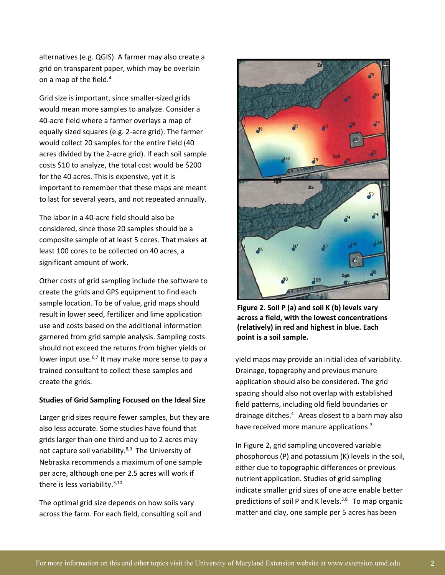alternatives (e.g. QGIS). A farmer may also create a grid on transparent paper, which may be overlain on a map of the field. 4

Grid size is important, since smaller-sized grids would mean more samples to analyze. Consider a 40-acre field where a farmer overlays a map of equally sized squares (e.g. 2-acre grid). The farmer would collect 20 samples for the entire field (40 acres divided by the 2-acre grid). If each soil sample costs \$10 to analyze, the total cost would be \$200 for the 40 acres. This is expensive, yet it is important to remember that these maps are meant to last for several years, and not repeated annually.

The labor in a 40-acre field should also be considered, since those 20 samples should be a composite sample of at least 5 cores. That makes at least 100 cores to be collected on 40 acres, a significant amount of work.

Other costs of grid sampling include the software to create the grids and GPS equipment to find each sample location. To be of value, grid maps should result in lower seed, fertilizer and lime application use and costs based on the additional information garnered from grid sample analysis. Sampling costs should not exceed the returns from higher yields or lower input use.<sup>6,7</sup> It may make more sense to pay a trained consultant to collect these samples and create the grids.

#### **Studies of Grid Sampling Focused on the Ideal Size**

Larger grid sizes require fewer samples, but they are also less accurate. Some studies have found that grids larger than one third and up to 2 acres may not capture soil variability.<sup>8,9</sup> The University of Nebraska recommends a maximum of one sample per acre, although one per 2.5 acres will work if there is less variability.<sup>3,10</sup>

The optimal grid size depends on how soils vary across the farm. For each field, consulting soil and



**Figure 2. Soil P (a) and soil K (b) levels vary across a field, with the lowest concentrations (relatively) in red and highest in blue. Each point is a soil sample.** 

yield maps may provide an initial idea of variability. Drainage, topography and previous manure application should also be considered. The grid spacing should also not overlap with established field patterns, including old field boundaries or drainage ditches. <sup>4</sup> Areas closest to a barn may also have received more manure applications.<sup>3</sup>

In Figure 2, grid sampling uncovered variable phosphorous (P) and potassium (K) levels in the soil, either due to topographic differences or previous nutrient application. Studies of grid sampling indicate smaller grid sizes of one acre enable better predictions of soil P and K levels.<sup>3,8</sup> To map organic matter and clay, one sample per 5 acres has been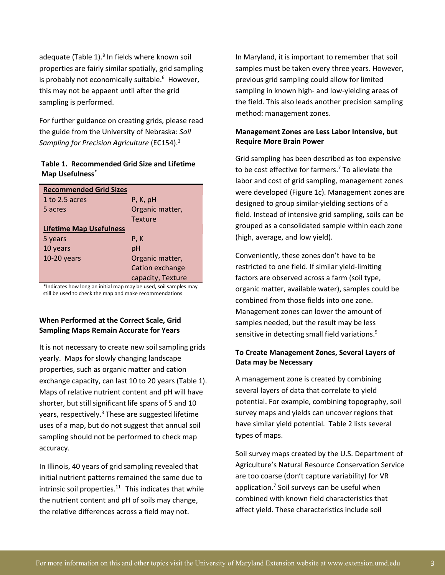adequate (Table 1).<sup>8</sup> In fields where known soil properties are fairly similar spatially, grid sampling is probably not economically suitable. 6 However, this may not be appaent until after the grid sampling is performed.

For further guidance on creating grids, please read the guide from the University of Nebraska: *Soil Sampling for Precision Agriculture* (EC154). 3

#### **Table 1. Recommended Grid Size and Lifetime Map Usefulness\***

| <b>Recommended Grid Sizes</b>  |                   |  |  |
|--------------------------------|-------------------|--|--|
| 1 to 2.5 acres                 | P, K, pH          |  |  |
| 5 acres                        | Organic matter,   |  |  |
|                                | <b>Texture</b>    |  |  |
| <b>Lifetime Map Usefulness</b> |                   |  |  |
| 5 years                        | P, K              |  |  |
| 10 years                       | рH                |  |  |
| $10-20$ years                  | Organic matter,   |  |  |
|                                | Cation exchange   |  |  |
|                                | capacity, Texture |  |  |
|                                |                   |  |  |

\*Indicates how long an initial map may be used, soil samples may still be used to check the map and make recommendations

#### **When Performed at the Correct Scale, Grid Sampling Maps Remain Accurate for Years**

It is not necessary to create new soil sampling grids yearly. Maps for slowly changing landscape properties, such as organic matter and cation exchange capacity, can last 10 to 20 years (Table 1). Maps of relative nutrient content and pH will have shorter, but still significant life spans of 5 and 10 years, respectively. $3$  These are suggested lifetime uses of a map, but do not suggest that annual soil sampling should not be performed to check map accuracy.

In Illinois, 40 years of grid sampling revealed that initial nutrient patterns remained the same due to intrinsic soil properties. $11$  This indicates that while the nutrient content and pH of soils may change, the relative differences across a field may not.

In Maryland, it is important to remember that soil samples must be taken every three years. However, previous grid sampling could allow for limited sampling in known high- and low-yielding areas of the field. This also leads another precision sampling method: management zones.

#### **Management Zones are Less Labor Intensive, but Require More Brain Power**

Grid sampling has been described as too expensive to be cost effective for farmers. <sup>7</sup> To alleviate the labor and cost of grid sampling, management zones were developed (Figure 1c). Management zones are designed to group similar-yielding sections of a field. Instead of intensive grid sampling, soils can be grouped as a consolidated sample within each zone (high, average, and low yield).

Conveniently, these zones don't have to be restricted to one field. If similar yield-limiting factors are observed across a farm (soil type, organic matter, available water), samples could be combined from those fields into one zone. Management zones can lower the amount of samples needed, but the result may be less sensitive in detecting small field variations. 5

#### **To Create Management Zones, Several Layers of Data may be Necessary**

A management zone is created by combining several layers of data that correlate to yield potential. For example, combining topography, soil survey maps and yields can uncover regions that have similar yield potential. Table 2 lists several types of maps.

Soil survey maps created by the U.S. Department of Agriculture's Natural Resource Conservation Service are too coarse (don't capture variability) for VR application.<sup>7</sup> Soil surveys can be useful when combined with known field characteristics that affect yield. These characteristics include soil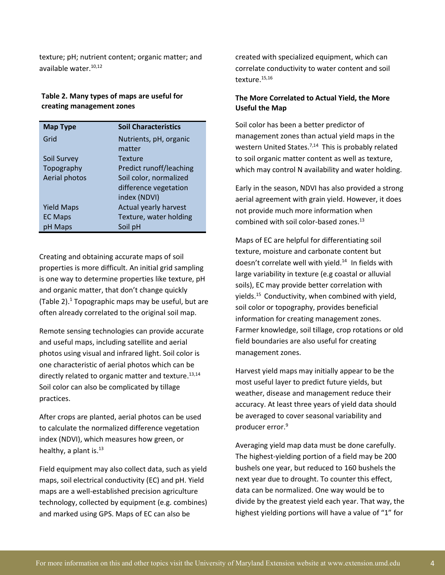texture; pH; nutrient content; organic matter; and available water. 10,12

#### **Table 2. Many types of maps are useful for creating management zones**

| <b>Map Type</b>   | <b>Soil Characteristics</b> |
|-------------------|-----------------------------|
| Grid              | Nutrients, pH, organic      |
|                   | matter                      |
| Soil Survey       | <b>Texture</b>              |
| Topography        | Predict runoff/leaching     |
| Aerial photos     | Soil color, normalized      |
|                   | difference vegetation       |
|                   | index (NDVI)                |
| <b>Yield Maps</b> | Actual yearly harvest       |
| <b>EC Maps</b>    | Texture, water holding      |
| pH Maps           | Soil pH                     |

Creating and obtaining accurate maps of soil properties is more difficult. An initial grid sampling is one way to determine properties like texture, pH and organic matter, that don't change quickly (Table 2). <sup>1</sup> Topographic maps may be useful, but are often already correlated to the original soil map.

Remote sensing technologies can provide accurate and useful maps, including satellite and aerial photos using visual and infrared light. Soil color is one characteristic of aerial photos which can be directly related to organic matter and texture.<sup>13,14</sup> Soil color can also be complicated by tillage practices.

After crops are planted, aerial photos can be used to calculate the normalized difference vegetation index (NDVI), which measures how green, or healthy, a plant is.<sup>13</sup>

Field equipment may also collect data, such as yield maps, soil electrical conductivity (EC) and pH. Yield maps are a well-established precision agriculture technology, collected by equipment (e.g. combines) and marked using GPS. Maps of EC can also be

created with specialized equipment, which can correlate conductivity to water content and soil texture.<sup>15,16</sup>

#### **The More Correlated to Actual Yield, the More Useful the Map**

Soil color has been a better predictor of management zones than actual yield maps in the western United States.<sup>7,14</sup> This is probably related to soil organic matter content as well as texture, which may control N availability and water holding.

Early in the season, NDVI has also provided a strong aerial agreement with grain yield. However, it does not provide much more information when combined with soil color-based zones. 13

Maps of EC are helpful for differentiating soil texture, moisture and carbonate content but doesn't correlate well with yield. <sup>14</sup> In fields with large variability in texture (e.g coastal or alluvial soils), EC may provide better correlation with yields. <sup>15</sup> Conductivity, when combined with yield, soil color or topography, provides beneficial information for creating management zones. Farmer knowledge, soil tillage, crop rotations or old field boundaries are also useful for creating management zones.

Harvest yield maps may initially appear to be the most useful layer to predict future yields, but weather, disease and management reduce their accuracy. At least three years of yield data should be averaged to cover seasonal variability and producer error. 9

Averaging yield map data must be done carefully. The highest-yielding portion of a field may be 200 bushels one year, but reduced to 160 bushels the next year due to drought. To counter this effect, data can be normalized. One way would be to divide by the greatest yield each year. That way, the highest yielding portions will have a value of "1" for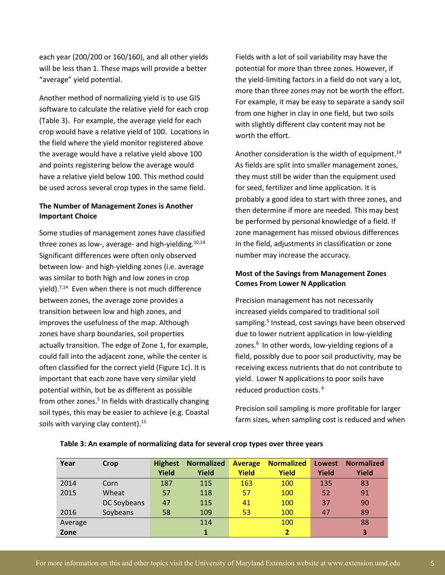each year (200/200 or 160/160), and all other yields will be less than 1. These maps will provide a better "average" yield potential.

Another method of normalizing yield is to use GIS software to calculate the relative yield for each crop (Table 3). For example, the average yield for each crop would have a relative yield of 100. Locations in the field where the yield monitor registered above the average would have a relative yield above 100 and points registering below the average would have a relative yield below 100. This method could be used across several crop types in the same field.

#### **The Number of Management Zones is Another Important Choice**

Some studies of management zones have classified three zones as low-, average- and high-yielding.<sup>10,14</sup> Significant differences were often only observed between low- and high-yielding zones (i.e. average was similar to both high and low zones in crop yield). 7,14 Even when there is not much difference between zones, the average zone provides a transition between low and high zones, and improves the usefulness of the map. Although zones have sharp boundaries, soil properties actually transition. The edge of Zone 1, for example, could fall into the adjacent zone, while the center is often classified for the correct yield (Figure 1c). It is important that each zone have very similar yield potential within, but be as different as possible from other zones.<sup>5</sup> In fields with drastically changing soil types, this may be easier to achieve (e.g. Coastal soils with varying clay content).<sup>15</sup>

Fields with a lot of soil variability may have the potential for more than three zones. However, if the yield-limiting factors in a field do not vary a lot, more than three zones may not be worth the effort. For example, it may be easy to separate a sandy soil from one higher in clay in one field, but two soils with slightly different clay content may not be worth the effort.

Another consideration is the width of equipment.<sup>14</sup> As fields are split into smaller management zones, they must still be wider than the equipment used for seed, fertilizer and lime application. It is probably a good idea to start with three zones, and then determine if more are needed. This may best be performed by personal knowledge of a field. If zone management has missed obvious differences in the field, adjustments in classification or zone number may increase the accuracy.

#### **Most of the Savings from Management Zones Comes From Lower N Application**

Precision management has not necessarily increased yields compared to traditional soil sampling.<sup>5</sup> Instead, cost savings have been observed due to lower nutrient application in low-yielding zones.<sup>6</sup> In other words, low-yielding regions of a field, possibly due to poor soil productivity, may be receiving excess nutrients that do not contribute to yield. Lower N applications to poor soils have reduced production costs. 6

Precision soil sampling is more profitable for larger farm sizes, when sampling cost is reduced and when

| Year    | Crop        | <b>Highest</b> | <b>Normalized</b> | <b>Average</b> | <b>Normalized</b> | Lowest | <b>Normalized</b> |
|---------|-------------|----------------|-------------------|----------------|-------------------|--------|-------------------|
|         |             | Yield          | Yield             | <b>Yield</b>   | Yield             | Yield  | Yield             |
| 2014    | Corn        | 187            | 115               | 163            | 100               | 135    | 83                |
| 2015    | Wheat       | 57             | 118               | 57             | 100               | 52     | 91                |
|         | DC Soybeans | 47             | 115               | 41             | 100               | 37     | 90                |
| 2016    | Soybeans    | 58             | 109               | 53             | 100               | 47     | 89                |
| Average |             |                | 114               |                | 100               |        | 88                |
| Zone    |             |                |                   |                |                   |        | 3                 |

#### **Table 3: An example of normalizing data for several crop types over three years**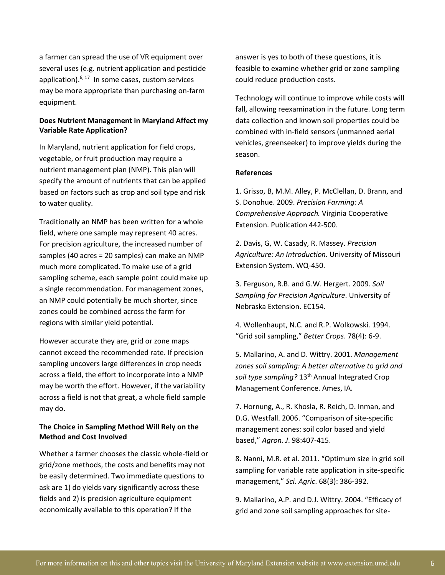a farmer can spread the use of VR equipment over several uses (e.g. nutrient application and pesticide application).<sup>6, 17</sup> In some cases, custom services may be more appropriate than purchasing on-farm equipment.

#### **Does Nutrient Management in Maryland Affect my Variable Rate Application?**

In Maryland, nutrient application for field crops, vegetable, or fruit production may require a nutrient management plan (NMP). This plan will specify the amount of nutrients that can be applied based on factors such as crop and soil type and risk to water quality.

Traditionally an NMP has been written for a whole field, where one sample may represent 40 acres. For precision agriculture, the increased number of samples (40 acres = 20 samples) can make an NMP much more complicated. To make use of a grid sampling scheme, each sample point could make up a single recommendation. For management zones, an NMP could potentially be much shorter, since zones could be combined across the farm for regions with similar yield potential.

However accurate they are, grid or zone maps cannot exceed the recommended rate. If precision sampling uncovers large differences in crop needs across a field, the effort to incorporate into a NMP may be worth the effort. However, if the variability across a field is not that great, a whole field sample may do.

#### **The Choice in Sampling Method Will Rely on the Method and Cost Involved**

Whether a farmer chooses the classic whole-field or grid/zone methods, the costs and benefits may not be easily determined. Two immediate questions to ask are 1) do yields vary significantly across these fields and 2) is precision agriculture equipment economically available to this operation? If the

answer is yes to both of these questions, it is feasible to examine whether grid or zone sampling could reduce production costs.

Technology will continue to improve while costs will fall, allowing reexamination in the future. Long term data collection and known soil properties could be combined with in-field sensors (unmanned aerial vehicles, greenseeker) to improve yields during the season.

#### **References**

1. Grisso, B, M.M. Alley, P. McClellan, D. Brann, and S. Donohue. 2009. *Precision Farming: A Comprehensive Approach.* Virginia Cooperative Extension. Publication 442-500.

2. Davis, G, W. Casady, R. Massey. *Precision Agriculture: An Introduction.* University of Missouri Extension System. WQ-450.

3. Ferguson, R.B. and G.W. Hergert. 2009. *Soil Sampling for Precision Agriculture*. University of Nebraska Extension. EC154.

4. Wollenhaupt, N.C. and R.P. Wolkowski. 1994. "Grid soil sampling," *Better Crops*. 78(4): 6-9.

5. Mallarino, A. and D. Wittry. 2001. *Management zones soil sampling: A better alternative to grid and soil type sampling?* 13th Annual Integrated Crop Management Conference. Ames, IA.

7. Hornung, A., R. Khosla, R. Reich, D. Inman, and D.G. Westfall. 2006. "Comparison of site-specific management zones: soil color based and yield based," *Agron. J*. 98:407-415.

8. Nanni, M.R. et al. 2011. "Optimum size in grid soil sampling for variable rate application in site-specific management," *Sci. Agric*. 68(3): 386-392.

9. Mallarino, A.P. and D.J. Wittry. 2004. "Efficacy of grid and zone soil sampling approaches for site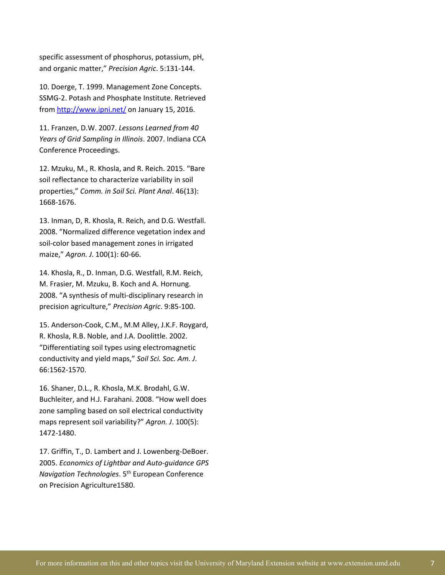specific assessment of phosphorus, potassium, pH, and organic matter," *Precision Agric*. 5:131-144.

10. Doerge, T. 1999. Management Zone Concepts. SSMG-2. Potash and Phosphate Institute. Retrieved from<http://www.ipni.net/> on January 15, 2016.

11. Franzen, D.W. 2007. *Lessons Learned from 40 Years of Grid Sampling in Illinois*. 2007. Indiana CCA Conference Proceedings.

12. Mzuku, M., R. Khosla, and R. Reich. 2015. "Bare soil reflectance to characterize variability in soil properties," *Comm. in Soil Sci. Plant Anal*. 46(13): 1668-1676.

13. Inman, D, R. Khosla, R. Reich, and D.G. Westfall. 2008. "Normalized difference vegetation index and soil-color based management zones in irrigated maize," *Agron. J*. 100(1): 60-66.

14. Khosla, R., D. Inman, D.G. Westfall, R.M. Reich, M. Frasier, M. Mzuku, B. Koch and A. Hornung. 2008. "A synthesis of multi-disciplinary research in precision agriculture," *Precision Agric*. 9:85-100.

15. Anderson-Cook, C.M., M.M Alley, J.K.F. Roygard, R. Khosla, R.B. Noble, and J.A. Doolittle. 2002. "Differentiating soil types using electromagnetic conductivity and yield maps," *Soil Sci. Soc. Am. J*. 66:1562-1570.

16. Shaner, D.L., R. Khosla, M.K. Brodahl, G.W. Buchleiter, and H.J. Farahani. 2008. "How well does zone sampling based on soil electrical conductivity maps represent soil variability?" *Agron. J*. 100(5): 1472-1480.

17. Griffin, T., D. Lambert and J. Lowenberg-DeBoer. 2005. *Economics of Lightbar and Auto-guidance GPS Navigation Technologies*. 5th European Conference on Precision Agriculture1580.